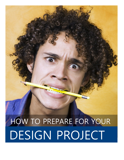# HOW TO PREPARE FOR YOUR DESIGN PROJECT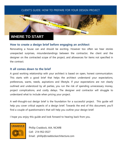# **WHERE TO START**

#### **How to create a design brief before engaging an architect**

Renovating a house can and should be exciting. However too often we hear stories unexpected surprises, misunderstandings between the contractor, the client and the designer on the contracted scope of the project, and allowances for items not specified in the contract.

#### **It all comes down to the brief**

A good working relationship with your architect is based on open, honest communication. This starts with a good brief that helps the architect understand your expectations, preferences, wants, needs, aspirations and lifestyle. If your expectations are not clearly outlined and understood by all parties, you run the risk of spending unnecessary money, project complications, and costly delays. The designer and contractor will struggle to understand what to include when pricing your project.

A well-thought-out design brief is the foundation for a successful project. This guide will help you cover critical aspects of a design brief. Towards the end of this document, you'll find a couple of questionnaire's that will help you outline your design brief.

I hope you enjoy this guide and look forward to hearing back from you.



Phillip Craddock, AIA, NCARB Cell: 214-952-0527 Email: phillip@craddockarchitecture.com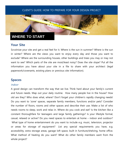

## **Your Site**

Scrutinize your site and get a real feel for it. Where is the sun in summer? Where is the sun in winter? Where are the views you want to enjoy every day and those you want to exclude? Where are the surrounding houses, other buildings and trees you may or may not want to see? Which parts of the site are most/least noisy? Does the site slope? Put all the information you have about your site in a file to share with your architect (legal paperwork/covenants, existing plans or previous site information).

## **Spaces**

#### Indoor

A good design can transform the way that we live. Think hard about your family's current and future needs. Map out your daily routine. How many people live in the house? How old are they? Who does what, where? Don't forget your children's rapidly changing needs! Do you want to 'zone' spaces, separate family members, functions and/or pets? Consider the number of floors, rooms and other spaces and describe their use. Make a list of who needs rooms to sleep, work and relax in. Where do you cook and eat? Is the kitchen like a constant thoroughfare for teenagers and large family gatherings? Is your lifestyle formal, casual, relaxed or active? Do you need spaces to entertain at home – indoor and outdoor? What type of home entertainment do you want to include e.g. music, television, projector or areas for storage of equipment? List any special requirements you have, e.g. accessibility, extra storage areas, garage loft space, built in furniture/shelving, home office. What method of heating do you want? What do other family members want from the whole project?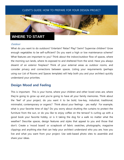

# **WHERE TO START**

#### **Outdoor**

What do you want to do outdoors? Entertain? Relax? Play? Swim? Supervise children? Grow enough vegetables to be self-sufficient? Do you want a high or low maintenance scheme? What features are important to you? Think about the indoor/outdoor flow of spaces, where the morning sun lands, where its exposed to and sheltered from the wind. Have you always dreamt of an exterior fireplace? Think of your external areas as outdoor rooms, and consider privacy and connections between spaces. Listing your requirements (perhaps using our List of Rooms and Spaces template) will help both you and your architect quickly understand your priorities.

## **Design Mood and Feeling**

This is important. This is your home, where your children and other loved ones are, where they're going to grow up and you're going to have all your family memories. Think about the 'feel' of your project, do you want it to be bold, low-key, industrial, traditional, minimalist, contemporary or organic? Think about your feelings - yes really! For example, what is your favorite time of day? Do you worry about shutting the curtains to protect the furniture from the sun, or do you like to enjoy coffee on the terrace? Is curling up with a good book your favorite hobby, or is it taking the dog for a walk no matter what the weather? Describe spaces, design features and styles that appeal to you and those that don't. Create a 'mood board' or scrapbook of fabric swatches, photographs, magazine clippings and anything else that can help your architect understand who you are, how you live and what you want from your project. Use web-based photo sites to assemble and share your ideas.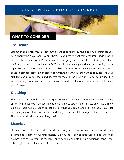# **WHAT TO CONSIDER**

# **The Details**

List major appliances you already own or are considering buying and any preferences you have about where you want to put them. Do you really want that American fridge next to your double steam oven? Do you have lots of gadgets that need sockets in your island unit? Is your washing machine on 24/7 and do you want your drying and ironing space right next to it? These details can make a big difference to the way your kitchen and utility space is planned. Note major pieces of furniture or artwork you want to showcase so your architect can provide spaces and sockets for them in the new plans. Better to include it in your planning from day one, then to move in and wonder where you are going to hang your Picasso.

# **Sketching**

Sketch out your thoughts, but don't get too wedded to them. If the work involves altering an existing house you'll be constrained by existing structures and services and if it's a listed building, there will be lots of limitations on what you can change. If it's a new house, let your imagination flow, but be prepared for your architect to suggest other approaches. That is, after all, why you are hiring one!

## **Materials**

List materials you like and dislike (inside and out), but be aware that your budget will be a determining factor in your final choice. Do you have any specific wall, ceiling and floor finishes in mind? Do you like render, timber cladding and tile-hung elevations? Stone, slate, rubber, glass, steel, aluminum... the list is endless.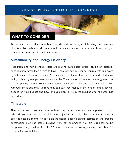# **WHAT TO CONSIDER**

Timber windows or aluminum? Much will depend on the style of building, but there are choices to be made that will determine how much you spend upfront, and how much you spend on maintenance in the longer term.

# **Sustainability and Energy Efficiency**

Regulation and rising energy costs are making sustainable 'green' design an essential consideration rather than a 'nice to have'. There are now minimum requirements laid down by national and local government. Your architect will know all about these and will discuss with you how 'green' you want to and can be. There are lots of renewable energy solutions - solar panels, ground source heat pumps, rainwater harvesting to name but a few. Although these add costs upfront, they can save you money in the longer-term. Much will depend on your budget and how long you plan to live in the building after the work has been done.

## **Timetable**

Think about and share with your architect key target dates that are important to you. When do you want to start and finish the project? Bear in mind that, as a rule of thumb, it takes at least 4-6 months to agree on the design, obtain planning permission and prepare construction drawings before building work can commence. You are less likely to be disappointed if you allow at least 6-12 months for work on existing buildings and about 18 months for new buildings.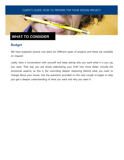

# **WHAT TO CONSIDER**

# **Budget**

We have prepared several cost plans for different types of projects and these are available on request.

Lastly, have a conversation with yourself and keep asking why you want what it is you say you want. That way you are slowly elaborating your brief into more detail. Include the emotional aspects, as this is the overriding deeper reasoning behind what you want to change about your house. Use the questions provided on the next couple of pages to help you get a deeper understanding of what you want and why you want it.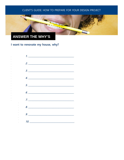

# **ANSWER THE WHY'S**

# I want to renovate my house, why?

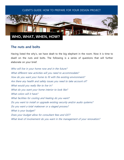

# **The nuts and bolts**

Having listed the why's, we have dealt to the big elephant in the room. Now it is time to dwell on the nuts and bolts. The following is a series of questions that will further elaborate on your brief.

Who will live in your home now and in the future? What different new activities will you need to accommodate? How do you want your home to fit with the existing environment? Are there any health and safety issues you need to take account of? What would you really like to live in? What do you want your home interior to look like? What colors will it have? What facilities for cooling and heating do you want? Do you want to install or upgrade existing security and/or audio systems? Do you want a total makeover or a staged process? What is your budget? Does your budget allow for consultant fees and GST? What level of involvement do you want in the management of your renovation?